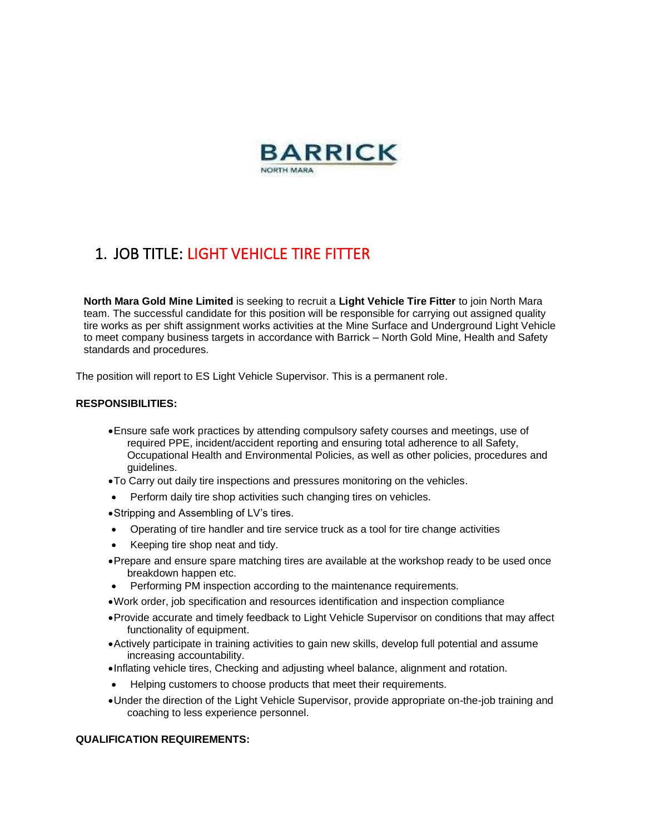

### 1. JOB TITLE: LIGHT VEHICLE TIRE FITTER

**North Mara Gold Mine Limited** is seeking to recruit a **Light Vehicle Tire Fitter** to join North Mara team. The successful candidate for this position will be responsible for carrying out assigned quality tire works as per shift assignment works activities at the Mine Surface and Underground Light Vehicle to meet company business targets in accordance with Barrick – North Gold Mine, Health and Safety standards and procedures.

The position will report to ES Light Vehicle Supervisor. This is a permanent role.

#### **RESPONSIBILITIES:**

- •Ensure safe work practices by attending compulsory safety courses and meetings, use of required PPE, incident/accident reporting and ensuring total adherence to all Safety, Occupational Health and Environmental Policies, as well as other policies, procedures and guidelines.
- •To Carry out daily tire inspections and pressures monitoring on the vehicles.
- Perform daily tire shop activities such changing tires on vehicles.
- •Stripping and Assembling of LV's tires.
- Operating of tire handler and tire service truck as a tool for tire change activities
- Keeping tire shop neat and tidy.
- •Prepare and ensure spare matching tires are available at the workshop ready to be used once breakdown happen etc.
- Performing PM inspection according to the maintenance requirements.
- •Work order, job specification and resources identification and inspection compliance
- •Provide accurate and timely feedback to Light Vehicle Supervisor on conditions that may affect functionality of equipment.
- •Actively participate in training activities to gain new skills, develop full potential and assume increasing accountability.
- •Inflating vehicle tires, Checking and adjusting wheel balance, alignment and rotation.
- Helping customers to choose products that meet their requirements.
- •Under the direction of the Light Vehicle Supervisor, provide appropriate on-the-job training and coaching to less experience personnel.

#### **QUALIFICATION REQUIREMENTS:**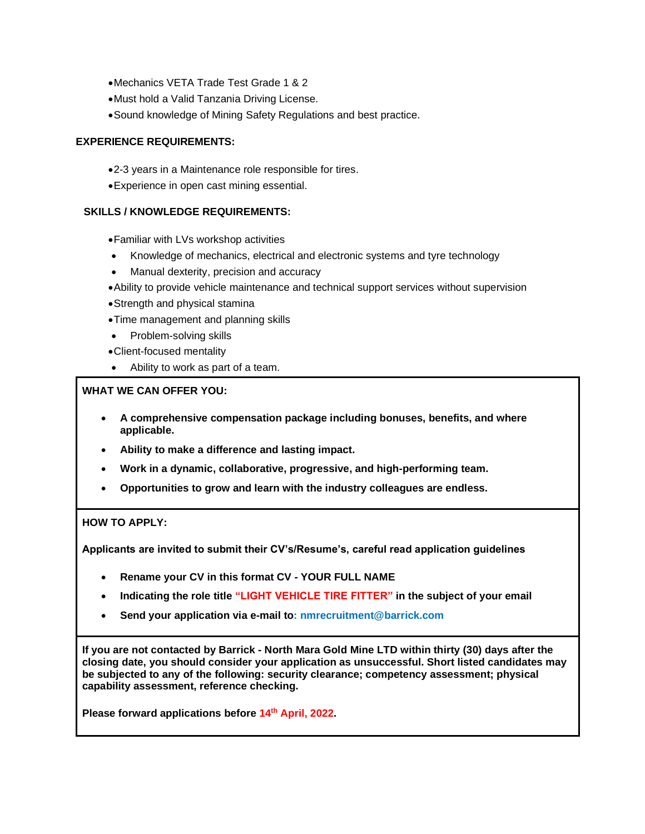- •Mechanics VETA Trade Test Grade 1 & 2
- •Must hold a Valid Tanzania Driving License.
- •Sound knowledge of Mining Safety Regulations and best practice.

### **EXPERIENCE REQUIREMENTS:**

- •2-3 years in a Maintenance role responsible for tires.
- •Experience in open cast mining essential.

#### **SKILLS / KNOWLEDGE REQUIREMENTS:**

- •Familiar with LVs workshop activities
- Knowledge of mechanics, electrical and electronic systems and tyre technology
- Manual dexterity, precision and accuracy
- •Ability to provide vehicle maintenance and technical support services without supervision
- •Strength and physical stamina
- •Time management and planning skills
- Problem-solving skills
- •Client-focused mentality
- Ability to work as part of a team.

### **WHAT WE CAN OFFER YOU:**

- **A comprehensive compensation package including bonuses, benefits, and where applicable.**
- **Ability to make a difference and lasting impact.**
- **Work in a dynamic, collaborative, progressive, and high-performing team.**
- **Opportunities to grow and learn with the industry colleagues are endless.**

### **HOW TO APPLY:**

**Applicants are invited to submit their CV's/Resume's, careful read application guidelines**

- **Rename your CV in this format CV - YOUR FULL NAME**
- **Indicating the role title "LIGHT VEHICLE TIRE FITTER" in the subject of your email**
- **Send your application via e-mail to: nmrecruitment@barrick.com**

**If you are not contacted by Barrick - North Mara Gold Mine LTD within thirty (30) days after the closing date, you should consider your application as unsuccessful. Short listed candidates may be subjected to any of the following: security clearance; competency assessment; physical capability assessment, reference checking.**

**Please forward applications before 14th April, 2022.**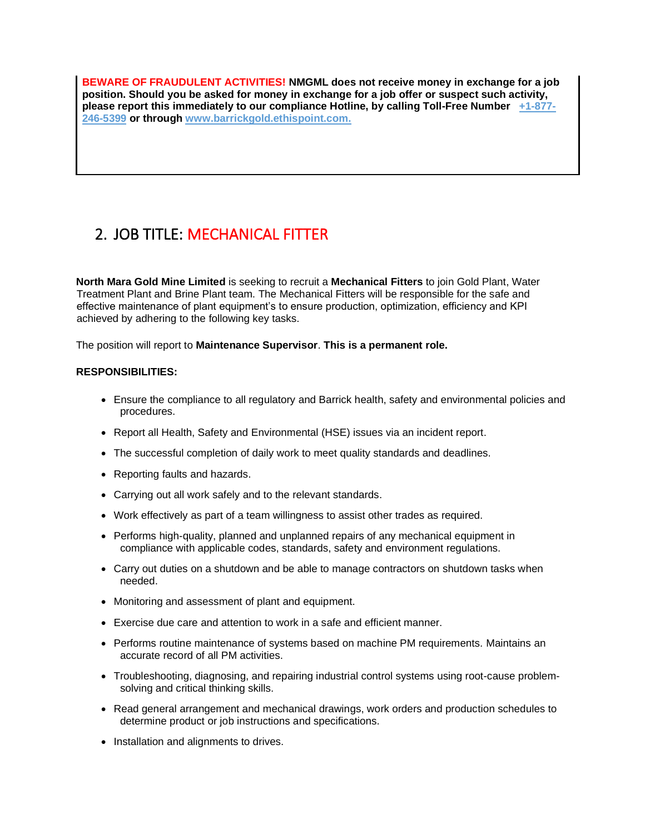**BEWARE OF FRAUDULENT ACTIVITIES! NMGML does not receive money in exchange for a job position. Should you be asked for money in exchange for a job offer or suspect such activity, please report this immediately to our compliance Hotline, by calling Toll-Free Number +1-877- 246-5399 or through www.barrickgold.ethispoint.com.**

# 2. JOB TITLE: MECHANICAL FITTER

**North Mara Gold Mine Limited** is seeking to recruit a **Mechanical Fitters** to join Gold Plant, Water Treatment Plant and Brine Plant team. The Mechanical Fitters will be responsible for the safe and effective maintenance of plant equipment's to ensure production, optimization, efficiency and KPI achieved by adhering to the following key tasks.

The position will report to **Maintenance Supervisor**. **This is a permanent role.**

### **RESPONSIBILITIES:**

- Ensure the compliance to all regulatory and Barrick health, safety and environmental policies and procedures.
- Report all Health, Safety and Environmental (HSE) issues via an incident report.
- The successful completion of daily work to meet quality standards and deadlines.
- Reporting faults and hazards.
- Carrying out all work safely and to the relevant standards.
- Work effectively as part of a team willingness to assist other trades as required.
- Performs high-quality, planned and unplanned repairs of any mechanical equipment in compliance with applicable codes, standards, safety and environment regulations.
- Carry out duties on a shutdown and be able to manage contractors on shutdown tasks when needed.
- Monitoring and assessment of plant and equipment.
- Exercise due care and attention to work in a safe and efficient manner.
- Performs routine maintenance of systems based on machine PM requirements. Maintains an accurate record of all PM activities.
- Troubleshooting, diagnosing, and repairing industrial control systems using root-cause problemsolving and critical thinking skills.
- Read general arrangement and mechanical drawings, work orders and production schedules to determine product or job instructions and specifications.
- Installation and alignments to drives.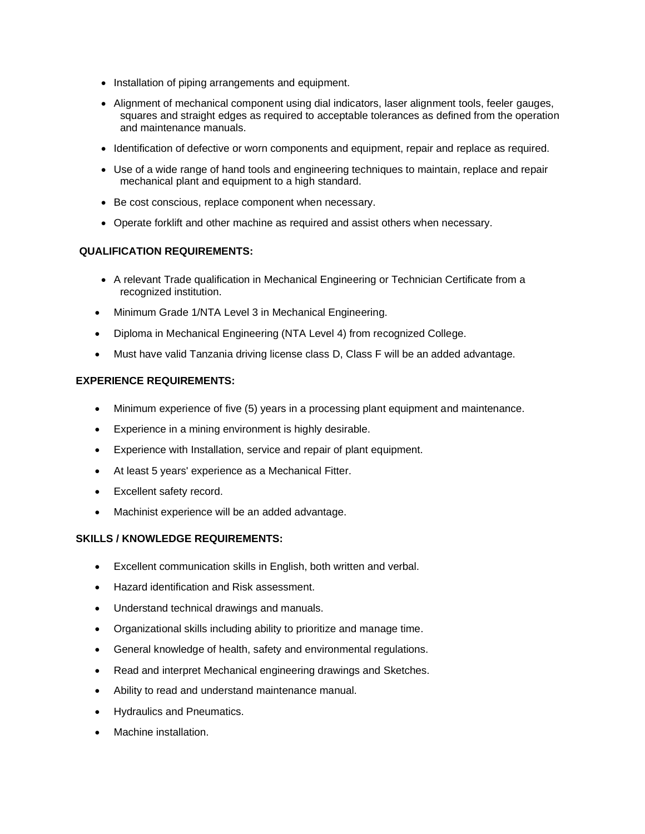- Installation of piping arrangements and equipment.
- Alignment of mechanical component using dial indicators, laser alignment tools, feeler gauges, squares and straight edges as required to acceptable tolerances as defined from the operation and maintenance manuals.
- Identification of defective or worn components and equipment, repair and replace as required.
- Use of a wide range of hand tools and engineering techniques to maintain, replace and repair mechanical plant and equipment to a high standard.
- Be cost conscious, replace component when necessary.
- Operate forklift and other machine as required and assist others when necessary.

### **QUALIFICATION REQUIREMENTS:**

- A relevant Trade qualification in Mechanical Engineering or Technician Certificate from a recognized institution.
- Minimum Grade 1/NTA Level 3 in Mechanical Engineering.
- Diploma in Mechanical Engineering (NTA Level 4) from recognized College.
- Must have valid Tanzania driving license class D, Class F will be an added advantage.

#### **EXPERIENCE REQUIREMENTS:**

- Minimum experience of five (5) years in a processing plant equipment and maintenance.
- Experience in a mining environment is highly desirable.
- Experience with Installation, service and repair of plant equipment.
- At least 5 years' experience as a Mechanical Fitter.
- Excellent safety record.
- Machinist experience will be an added advantage.

#### **SKILLS / KNOWLEDGE REQUIREMENTS:**

- Excellent communication skills in English, both written and verbal.
- Hazard identification and Risk assessment.
- Understand technical drawings and manuals.
- Organizational skills including ability to prioritize and manage time.
- General knowledge of health, safety and environmental regulations.
- Read and interpret Mechanical engineering drawings and Sketches.
- Ability to read and understand maintenance manual.
- Hydraulics and Pneumatics.
- Machine installation.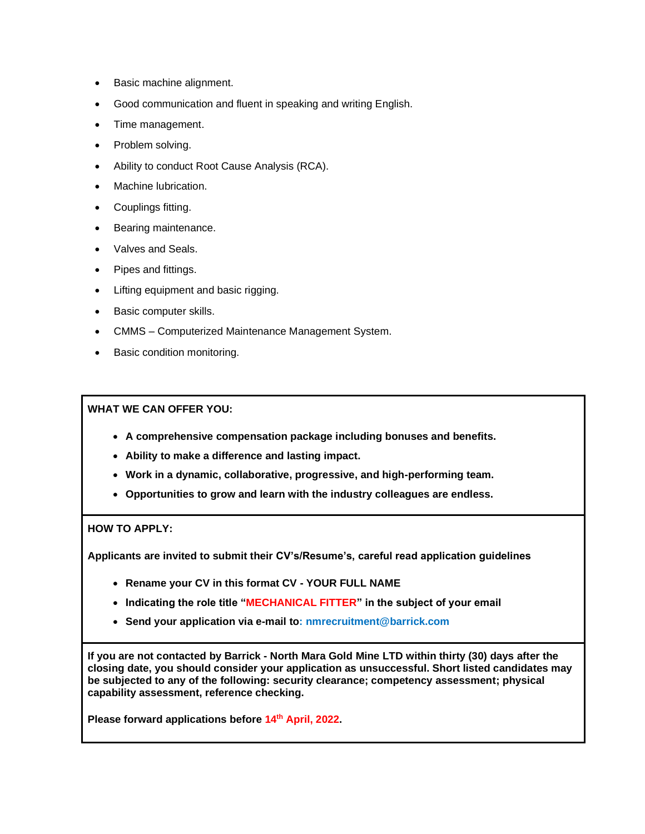- Basic machine alignment.
- Good communication and fluent in speaking and writing English.
- Time management.
- Problem solving.
- Ability to conduct Root Cause Analysis (RCA).
- Machine lubrication.
- Couplings fitting.
- Bearing maintenance.
- Valves and Seals.
- Pipes and fittings.
- Lifting equipment and basic rigging.
- Basic computer skills.
- CMMS Computerized Maintenance Management System.
- Basic condition monitoring.

**WHAT WE CAN OFFER YOU:**

- **A comprehensive compensation package including bonuses and benefits.**
- **Ability to make a difference and lasting impact.**
- **Work in a dynamic, collaborative, progressive, and high-performing team.**
- **Opportunities to grow and learn with the industry colleagues are endless.**

#### **HOW TO APPLY:**

**Applicants are invited to submit their CV's/Resume's, careful read application guidelines**

- **Rename your CV in this format CV - YOUR FULL NAME**
- **Indicating the role title "MECHANICAL FITTER" in the subject of your email**
- **Send your application via e-mail to: nmrecruitment@barrick.com**

**If you are not contacted by Barrick - North Mara Gold Mine LTD within thirty (30) days after the closing date, you should consider your application as unsuccessful. Short listed candidates may be subjected to any of the following: security clearance; competency assessment; physical capability assessment, reference checking.**

**Please forward applications before 14th April, 2022.**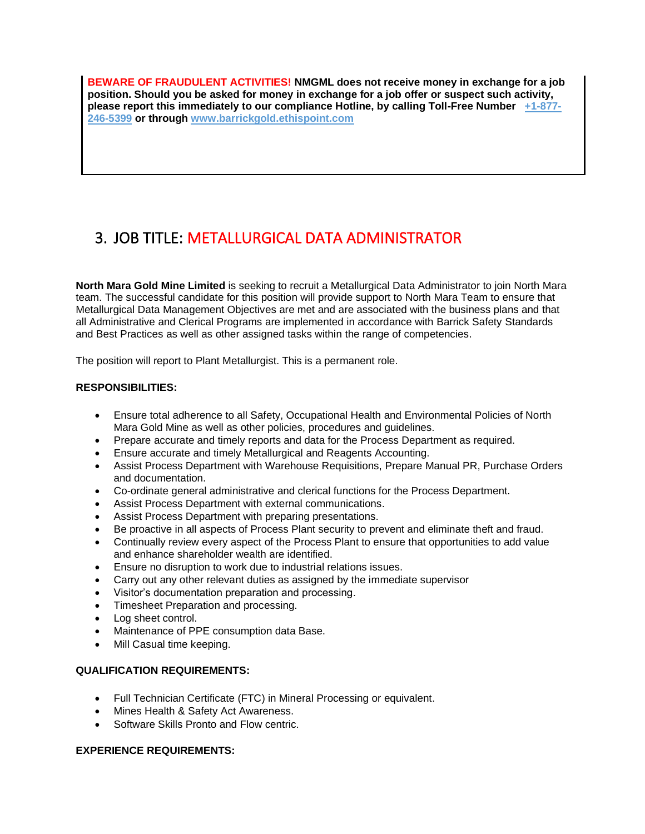**BEWARE OF FRAUDULENT ACTIVITIES! NMGML does not receive money in exchange for a job position. Should you be asked for money in exchange for a job offer or suspect such activity, please report this immediately to our compliance Hotline, by calling Toll-Free Number +1-877- 246-5399 or through www.barrickgold.ethispoint.com**

## 3. JOB TITLE: METALLURGICAL DATA ADMINISTRATOR

**North Mara Gold Mine Limited** is seeking to recruit a Metallurgical Data Administrator to join North Mara team. The successful candidate for this position will provide support to North Mara Team to ensure that Metallurgical Data Management Objectives are met and are associated with the business plans and that all Administrative and Clerical Programs are implemented in accordance with Barrick Safety Standards and Best Practices as well as other assigned tasks within the range of competencies.

The position will report to Plant Metallurgist. This is a permanent role.

### **RESPONSIBILITIES:**

- Ensure total adherence to all Safety, Occupational Health and Environmental Policies of North Mara Gold Mine as well as other policies, procedures and guidelines.
- Prepare accurate and timely reports and data for the Process Department as required.
- Ensure accurate and timely Metallurgical and Reagents Accounting.
- Assist Process Department with Warehouse Requisitions, Prepare Manual PR, Purchase Orders and documentation.
- Co-ordinate general administrative and clerical functions for the Process Department.
- Assist Process Department with external communications.
- Assist Process Department with preparing presentations.
- Be proactive in all aspects of Process Plant security to prevent and eliminate theft and fraud.
- Continually review every aspect of the Process Plant to ensure that opportunities to add value and enhance shareholder wealth are identified.
- Ensure no disruption to work due to industrial relations issues.
- Carry out any other relevant duties as assigned by the immediate supervisor
- Visitor's documentation preparation and processing.
- Timesheet Preparation and processing.
- Log sheet control.
- Maintenance of PPE consumption data Base.
- Mill Casual time keeping.

### **QUALIFICATION REQUIREMENTS:**

- Full Technician Certificate (FTC) in Mineral Processing or equivalent.
- Mines Health & Safety Act Awareness.
- Software Skills Pronto and Flow centric.

### **EXPERIENCE REQUIREMENTS:**